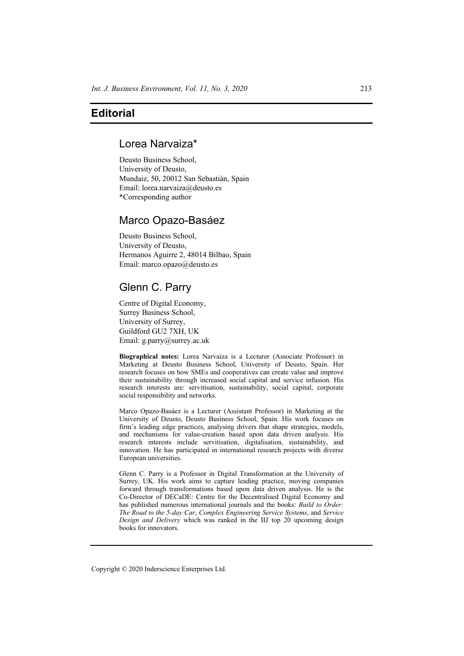# **Editorial**

# Lorea Narvaiza\*

Deusto Business School, University of Deusto, Mundaiz, 50, 20012 San Sebastián, Spain Email: lorea.narvaiza@deusto.es \*Corresponding author

# Marco Opazo-Basáez

Deusto Business School, University of Deusto, Hermanos Aguirre 2, 48014 Bilbao, Spain Email: marco.opazo@deusto.es

# Glenn C. Parry

Centre of Digital Economy, Surrey Business School, University of Surrey, Guildford GU2 7XH, UK Email: g.parry@surrey.ac.uk

**Biographical notes:** Lorea Narvaiza is a Lecturer (Associate Professor) in Marketing at Deusto Business School, University of Deusto, Spain. Her research focuses on how SMEs and cooperatives can create value and improve their sustainability through increased social capital and service infusion. His research interests are: servitisation, sustainability, social capital, corporate social responsibility and networks.

Marco Opazo-Basáez is a Lecturer (Assistant Professor) in Marketing at the University of Deusto, Deusto Business School, Spain. His work focuses on firm's leading edge practices, analysing drivers that shape strategies, models, and mechanisms for value-creation based upon data driven analysis. His research interests include servitisation, digitalisation, sustainability, and innovation. He has participated in international research projects with diverse European universities.

Glenn C. Parry is a Professor in Digital Transformation at the University of Surrey, UK. His work aims to capture leading practice, moving companies forward through transformations based upon data driven analysis. He is the Co-Director of DECaDE: Centre for the Decentralised Digital Economy and has published numerous international journals and the books: *Build to Order: The Road to the 5-day Car*, *Complex Engineering Service Systems*, and *Service Design and Delivery* which was ranked in the IIJ top 20 upcoming design books for innovators.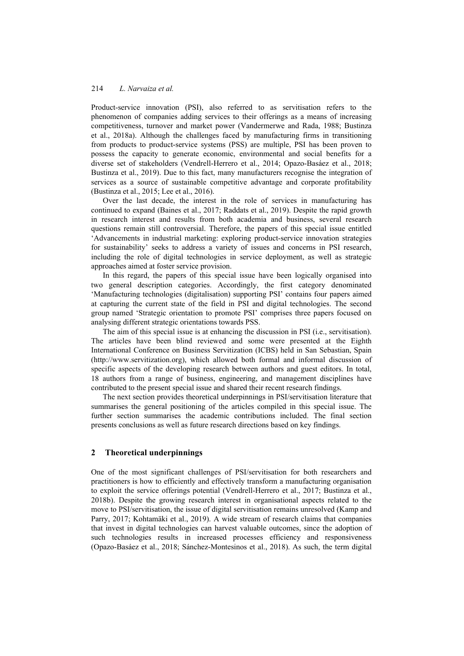Product-service innovation (PSI), also referred to as servitisation refers to the phenomenon of companies adding services to their offerings as a means of increasing competitiveness, turnover and market power (Vandermerwe and Rada, 1988; Bustinza et al., 2018a). Although the challenges faced by manufacturing firms in transitioning from products to product-service systems (PSS) are multiple, PSI has been proven to possess the capacity to generate economic, environmental and social benefits for a diverse set of stakeholders (Vendrell-Herrero et al., 2014; Opazo-Basáez et al., 2018; Bustinza et al., 2019). Due to this fact, many manufacturers recognise the integration of services as a source of sustainable competitive advantage and corporate profitability (Bustinza et al., 2015; Lee et al., 2016).

Over the last decade, the interest in the role of services in manufacturing has continued to expand (Baines et al., 2017; Raddats et al., 2019). Despite the rapid growth in research interest and results from both academia and business, several research questions remain still controversial. Therefore, the papers of this special issue entitled 'Advancements in industrial marketing: exploring product-service innovation strategies for sustainability' seeks to address a variety of issues and concerns in PSI research, including the role of digital technologies in service deployment, as well as strategic approaches aimed at foster service provision.

In this regard, the papers of this special issue have been logically organised into two general description categories. Accordingly, the first category denominated 'Manufacturing technologies (digitalisation) supporting PSI' contains four papers aimed at capturing the current state of the field in PSI and digital technologies. The second group named 'Strategic orientation to promote PSI' comprises three papers focused on analysing different strategic orientations towards PSS.

The aim of this special issue is at enhancing the discussion in PSI (i.e., servitisation). The articles have been blind reviewed and some were presented at the Eighth International Conference on Business Servitization (ICBS) held in San Sebastian, Spain (http://www.servitization.org), which allowed both formal and informal discussion of specific aspects of the developing research between authors and guest editors. In total, 18 authors from a range of business, engineering, and management disciplines have contributed to the present special issue and shared their recent research findings.

The next section provides theoretical underpinnings in PSI/servitisation literature that summarises the general positioning of the articles compiled in this special issue. The further section summarises the academic contributions included. The final section presents conclusions as well as future research directions based on key findings.

### **2 Theoretical underpinnings**

One of the most significant challenges of PSI/servitisation for both researchers and practitioners is how to efficiently and effectively transform a manufacturing organisation to exploit the service offerings potential (Vendrell-Herrero et al., 2017; Bustinza et al., 2018b). Despite the growing research interest in organisational aspects related to the move to PSI/servitisation, the issue of digital servitisation remains unresolved (Kamp and Parry, 2017; Kohtamäki et al., 2019). A wide stream of research claims that companies that invest in digital technologies can harvest valuable outcomes, since the adoption of such technologies results in increased processes efficiency and responsiveness (Opazo-Basáez et al., 2018; Sánchez‐Montesinos et al., 2018). As such, the term digital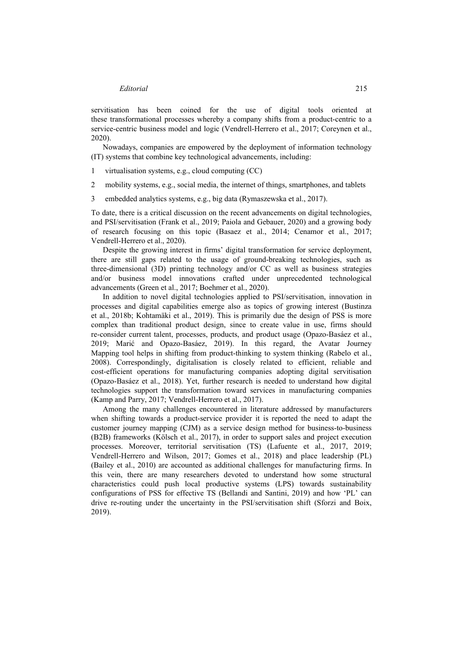servitisation has been coined for the use of digital tools oriented at these transformational processes whereby a company shifts from a product-centric to a service-centric business model and logic (Vendrell-Herrero et al., 2017; Coreynen et al., 2020).

Nowadays, companies are empowered by the deployment of information technology (IT) systems that combine key technological advancements, including:

- 1 virtualisation systems, e.g., cloud computing (CC)
- 2 mobility systems, e.g., social media, the internet of things, smartphones, and tablets
- 3 embedded analytics systems, e.g., big data (Rymaszewska et al., 2017).

To date, there is a critical discussion on the recent advancements on digital technologies, and PSI/servitisation (Frank et al., 2019; Paiola and Gebauer, 2020) and a growing body of research focusing on this topic (Basaez et al., 2014; Cenamor et al., 2017; Vendrell-Herrero et al., 2020).

Despite the growing interest in firms' digital transformation for service deployment, there are still gaps related to the usage of ground-breaking technologies, such as three-dimensional (3D) printing technology and/or CC as well as business strategies and/or business model innovations crafted under unprecedented technological advancements (Green et al., 2017; Boehmer et al., 2020).

In addition to novel digital technologies applied to PSI/servitisation, innovation in processes and digital capabilities emerge also as topics of growing interest (Bustinza et al., 2018b; Kohtamäki et al., 2019). This is primarily due the design of PSS is more complex than traditional product design, since to create value in use, firms should re-consider current talent, processes, products, and product usage (Opazo-Basáez et al., 2019; Marić and Opazo-Basáez, 2019). In this regard, the Avatar Journey Mapping tool helps in shifting from product-thinking to system thinking (Rabelo et al., 2008). Correspondingly, digitalisation is closely related to efficient, reliable and cost-efficient operations for manufacturing companies adopting digital servitisation (Opazo-Basáez et al., 2018). Yet, further research is needed to understand how digital technologies support the transformation toward services in manufacturing companies (Kamp and Parry, 2017; Vendrell-Herrero et al., 2017).

Among the many challenges encountered in literature addressed by manufacturers when shifting towards a product-service provider it is reported the need to adapt the customer journey mapping (CJM) as a service design method for business-to-business (B2B) frameworks (Kölsch et al., 2017), in order to support sales and project execution processes. Moreover, territorial servitisation (TS) (Lafuente et al., 2017, 2019; Vendrell-Herrero and Wilson, 2017; Gomes et al., 2018) and place leadership (PL) (Bailey et al., 2010) are accounted as additional challenges for manufacturing firms. In this vein, there are many researchers devoted to understand how some structural characteristics could push local productive systems (LPS) towards sustainability configurations of PSS for effective TS (Bellandi and Santini, 2019) and how 'PL' can drive re-routing under the uncertainty in the PSI/servitisation shift (Sforzi and Boix, 2019).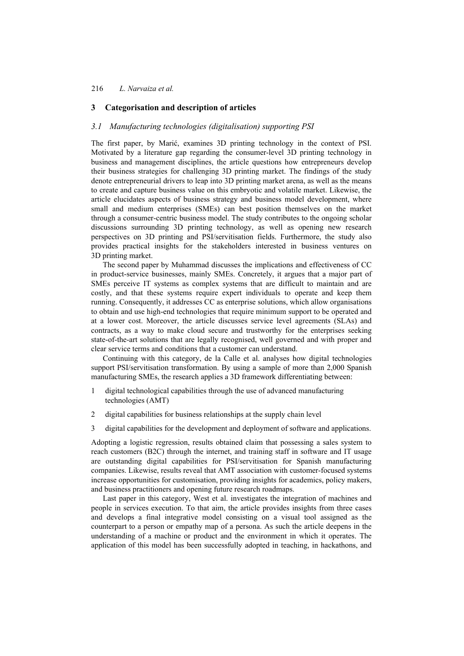## **3 Categorisation and description of articles**

### *3.1 Manufacturing technologies (digitalisation) supporting PSI*

The first paper, by Marić, examines 3D printing technology in the context of PSI. Motivated by a literature gap regarding the consumer-level 3D printing technology in business and management disciplines, the article questions how entrepreneurs develop their business strategies for challenging 3D printing market. The findings of the study denote entrepreneurial drivers to leap into 3D printing market arena, as well as the means to create and capture business value on this embryotic and volatile market. Likewise, the article elucidates aspects of business strategy and business model development, where small and medium enterprises (SMEs) can best position themselves on the market through a consumer-centric business model. The study contributes to the ongoing scholar discussions surrounding 3D printing technology, as well as opening new research perspectives on 3D printing and PSI/servitisation fields. Furthermore, the study also provides practical insights for the stakeholders interested in business ventures on 3D printing market.

The second paper by Muhammad discusses the implications and effectiveness of CC in product-service businesses, mainly SMEs. Concretely, it argues that a major part of SMEs perceive IT systems as complex systems that are difficult to maintain and are costly, and that these systems require expert individuals to operate and keep them running. Consequently, it addresses CC as enterprise solutions, which allow organisations to obtain and use high-end technologies that require minimum support to be operated and at a lower cost. Moreover, the article discusses service level agreements (SLAs) and contracts, as a way to make cloud secure and trustworthy for the enterprises seeking state-of-the-art solutions that are legally recognised, well governed and with proper and clear service terms and conditions that a customer can understand.

Continuing with this category, de la Calle et al. analyses how digital technologies support PSI/servitisation transformation. By using a sample of more than 2,000 Spanish manufacturing SMEs, the research applies a 3D framework differentiating between:

- 1 digital technological capabilities through the use of advanced manufacturing technologies (AMT)
- 2 digital capabilities for business relationships at the supply chain level
- 3 digital capabilities for the development and deployment of software and applications.

Adopting a logistic regression, results obtained claim that possessing a sales system to reach customers (B2C) through the internet, and training staff in software and IT usage are outstanding digital capabilities for PSI/servitisation for Spanish manufacturing companies. Likewise, results reveal that AMT association with customer-focused systems increase opportunities for customisation, providing insights for academics, policy makers, and business practitioners and opening future research roadmaps.

Last paper in this category, West et al. investigates the integration of machines and people in services execution. To that aim, the article provides insights from three cases and develops a final integrative model consisting on a visual tool assigned as the counterpart to a person or empathy map of a persona. As such the article deepens in the understanding of a machine or product and the environment in which it operates. The application of this model has been successfully adopted in teaching, in hackathons, and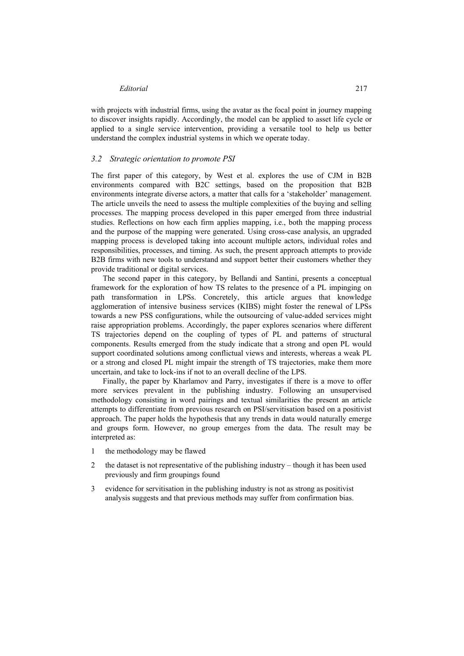with projects with industrial firms, using the avatar as the focal point in journey mapping to discover insights rapidly. Accordingly, the model can be applied to asset life cycle or applied to a single service intervention, providing a versatile tool to help us better understand the complex industrial systems in which we operate today.

#### *3.2 Strategic orientation to promote PSI*

The first paper of this category, by West et al. explores the use of CJM in B2B environments compared with B2C settings, based on the proposition that B2B environments integrate diverse actors, a matter that calls for a 'stakeholder' management. The article unveils the need to assess the multiple complexities of the buying and selling processes. The mapping process developed in this paper emerged from three industrial studies. Reflections on how each firm applies mapping, i.e., both the mapping process and the purpose of the mapping were generated. Using cross-case analysis, an upgraded mapping process is developed taking into account multiple actors, individual roles and responsibilities, processes, and timing. As such, the present approach attempts to provide B2B firms with new tools to understand and support better their customers whether they provide traditional or digital services.

The second paper in this category, by Bellandi and Santini, presents a conceptual framework for the exploration of how TS relates to the presence of a PL impinging on path transformation in LPSs. Concretely, this article argues that knowledge agglomeration of intensive business services (KIBS) might foster the renewal of LPSs towards a new PSS configurations, while the outsourcing of value-added services might raise appropriation problems. Accordingly, the paper explores scenarios where different TS trajectories depend on the coupling of types of PL and patterns of structural components. Results emerged from the study indicate that a strong and open PL would support coordinated solutions among conflictual views and interests, whereas a weak PL or a strong and closed PL might impair the strength of TS trajectories, make them more uncertain, and take to lock-ins if not to an overall decline of the LPS.

Finally, the paper by Kharlamov and Parry, investigates if there is a move to offer more services prevalent in the publishing industry. Following an unsupervised methodology consisting in word pairings and textual similarities the present an article attempts to differentiate from previous research on PSI/servitisation based on a positivist approach. The paper holds the hypothesis that any trends in data would naturally emerge and groups form. However, no group emerges from the data. The result may be interpreted as:

- 1 the methodology may be flawed
- 2 the dataset is not representative of the publishing industry though it has been used previously and firm groupings found
- 3 evidence for servitisation in the publishing industry is not as strong as positivist analysis suggests and that previous methods may suffer from confirmation bias.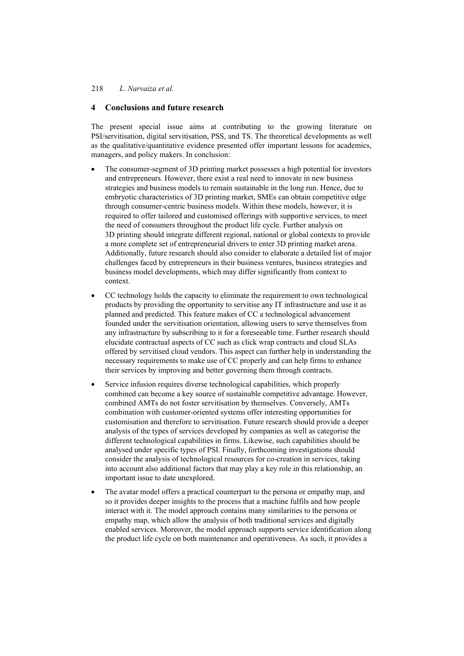## **4 Conclusions and future research**

The present special issue aims at contributing to the growing literature on PSI/servitisation, digital servitisation, PSS, and TS. The theoretical developments as well as the qualitative/quantitative evidence presented offer important lessons for academics, managers, and policy makers. In conclusion:

- The consumer-segment of 3D printing market possesses a high potential for investors and entrepreneurs. However, there exist a real need to innovate in new business strategies and business models to remain sustainable in the long run. Hence, due to embryotic characteristics of 3D printing market, SMEs can obtain competitive edge through consumer-centric business models. Within these models, however, it is required to offer tailored and customised offerings with supportive services, to meet the need of consumers throughout the product life cycle. Further analysis on 3D printing should integrate different regional, national or global contexts to provide a more complete set of entrepreneurial drivers to enter 3D printing market arena. Additionally, future research should also consider to elaborate a detailed list of major challenges faced by entrepreneurs in their business ventures, business strategies and business model developments, which may differ significantly from context to context.
- CC technology holds the capacity to eliminate the requirement to own technological products by providing the opportunity to servitise any IT infrastructure and use it as planned and predicted. This feature makes of CC a technological advancement founded under the servitisation orientation, allowing users to serve themselves from any infrastructure by subscribing to it for a foreseeable time. Further research should elucidate contractual aspects of CC such as click wrap contracts and cloud SLAs offered by servitised cloud vendors. This aspect can further help in understanding the necessary requirements to make use of CC properly and can help firms to enhance their services by improving and better governing them through contracts.
- Service infusion requires diverse technological capabilities, which properly combined can become a key source of sustainable competitive advantage. However, combined AMTs do not foster servitisation by themselves. Conversely, AMTs combination with customer-oriented systems offer interesting opportunities for customisation and therefore to servitisation. Future research should provide a deeper analysis of the types of services developed by companies as well as categorise the different technological capabilities in firms. Likewise, such capabilities should be analysed under specific types of PSI. Finally, forthcoming investigations should consider the analysis of technological resources for co-creation in services, taking into account also additional factors that may play a key role in this relationship, an important issue to date unexplored.
- The avatar model offers a practical counterpart to the persona or empathy map, and so it provides deeper insights to the process that a machine fulfils and how people interact with it. The model approach contains many similarities to the persona or empathy map, which allow the analysis of both traditional services and digitally enabled services. Moreover, the model approach supports service identification along the product life cycle on both maintenance and operativeness. As such, it provides a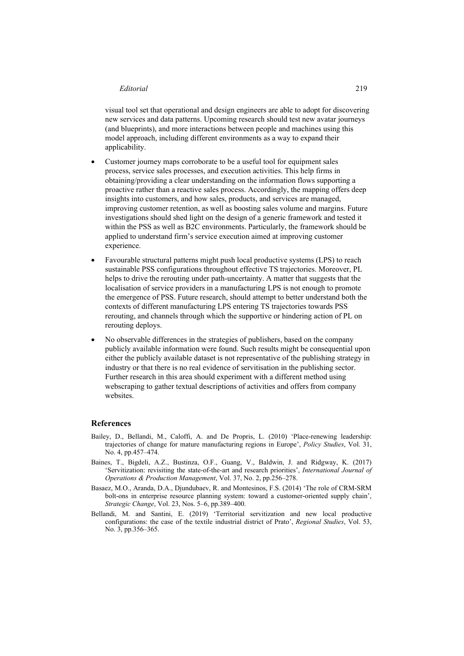#### *Editorial* 219

visual tool set that operational and design engineers are able to adopt for discovering new services and data patterns. Upcoming research should test new avatar journeys (and blueprints), and more interactions between people and machines using this model approach, including different environments as a way to expand their applicability.

- Customer journey maps corroborate to be a useful tool for equipment sales process, service sales processes, and execution activities. This help firms in obtaining/providing a clear understanding on the information flows supporting a proactive rather than a reactive sales process. Accordingly, the mapping offers deep insights into customers, and how sales, products, and services are managed, improving customer retention, as well as boosting sales volume and margins. Future investigations should shed light on the design of a generic framework and tested it within the PSS as well as B2C environments. Particularly, the framework should be applied to understand firm's service execution aimed at improving customer experience.
- Favourable structural patterns might push local productive systems (LPS) to reach sustainable PSS configurations throughout effective TS trajectories. Moreover, PL helps to drive the rerouting under path-uncertainty. A matter that suggests that the localisation of service providers in a manufacturing LPS is not enough to promote the emergence of PSS. Future research, should attempt to better understand both the contexts of different manufacturing LPS entering TS trajectories towards PSS rerouting, and channels through which the supportive or hindering action of PL on rerouting deploys.
- No observable differences in the strategies of publishers, based on the company publicly available information were found. Such results might be consequential upon either the publicly available dataset is not representative of the publishing strategy in industry or that there is no real evidence of servitisation in the publishing sector. Further research in this area should experiment with a different method using webscraping to gather textual descriptions of activities and offers from company websites.

#### **References**

- Bailey, D., Bellandi, M., Caloffi, A. and De Propris, L. (2010) 'Place-renewing leadership: trajectories of change for mature manufacturing regions in Europe', *Policy Studies*, Vol. 31, No. 4, pp.457–474.
- Baines, T., Bigdeli, A.Z., Bustinza, O.F., Guang, V., Baldwin, J. and Ridgway, K. (2017) 'Servitization: revisiting the state-of-the-art and research priorities', *International Journal of Operations & Production Management*, Vol. 37, No. 2, pp.256–278.
- Basaez, M.O., Aranda, D.A., Djundubaev, R. and Montesinos, F.S. (2014) 'The role of CRM‐SRM bolt-ons in enterprise resource planning system: toward a customer-oriented supply chain', *Strategic Change*, Vol. 23, Nos. 5–6, pp.389–400.
- Bellandi, M. and Santini, E. (2019) 'Territorial servitization and new local productive configurations: the case of the textile industrial district of Prato', *Regional Studies*, Vol. 53, No. 3, pp.356–365.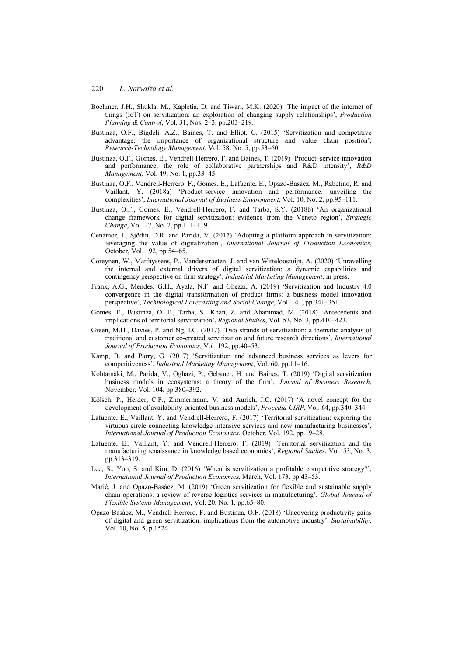- Boehmer, J.H., Shukla, M., Kapletia, D. and Tiwari, M.K. (2020) 'The impact of the internet of things (IoT) on servitization: an exploration of changing supply relationships', *Production Planning & Control*, Vol. 31, Nos. 2–3, pp.203–219.
- Bustinza, O.F., Bigdeli, A.Z., Baines, T. and Elliot, C. (2015) 'Servitization and competitive advantage: the importance of organizational structure and value chain position', *Research-Technology Management*, Vol. 58, No. 5, pp.53–60.
- Bustinza, O.F., Gomes, E., Vendrell-Herrero, F. and Baines, T. (2019) 'Product–service innovation and performance: the role of collaborative partnerships and R&D intensity', *R&D Management*, Vol. 49, No. 1, pp.33–45.
- Bustinza, O.F., Vendrell-Herrero, F., Gomes, E., Lafuente, E., Opazo-Basáez, M., Rabetino, R. and Vaillant, Y. (2018a) 'Product-service innovation and performance: unveiling the complexities', *International Journal of Business Environment*, Vol. 10, No. 2, pp.95–111.
- Bustinza, O.F., Gomes, E., Vendrell-Herrero, F. and Tarba, S.Y. (2018b) 'An organizational change framework for digital servitization: evidence from the Veneto region', *Strategic Change*, Vol. 27, No. 2, pp.111–119.
- Cenamor, J., Sjödin, D.R. and Parida, V. (2017) 'Adopting a platform approach in servitization: leveraging the value of digitalization', *International Journal of Production Economics*, October, Vol. 192, pp.54–65.
- Coreynen, W., Matthyssens, P., Vanderstraeten, J. and van Witteloostuijn, A. (2020) 'Unravelling the internal and external drivers of digital servitization: a dynamic capabilities and contingency perspective on firm strategy', *Industrial Marketing Management*, in press.
- Frank, A.G., Mendes, G.H., Ayala, N.F. and Ghezzi, A. (2019) 'Servitization and Industry 4.0 convergence in the digital transformation of product firms: a business model innovation perspective', *Technological Forecasting and Social Change*, Vol. 141, pp.341–351.
- Gomes, E., Bustinza, O. F., Tarba, S., Khan, Z. and Ahammad, M. (2018) 'Antecedents and implications of territorial servitization', *Regional Studies*, Vol. 53, No. 3, pp.410–423.
- Green, M.H., Davies, P. and Ng, I.C. (2017) 'Two strands of servitization: a thematic analysis of traditional and customer co-created servitization and future research directions', *International Journal of Production Economics*, Vol. 192, pp.40–53.
- Kamp, B. and Parry, G. (2017) 'Servitization and advanced business services as levers for competitiveness', *Industrial Marketing Management*, Vol. 60, pp.11–16.
- Kohtamäki, M., Parida, V., Oghazi, P., Gebauer, H. and Baines, T. (2019) 'Digital servitization business models in ecosystems: a theory of the firm', *Journal of Business Research*, November, Vol. 104, pp.380–392.
- Kölsch, P., Herder, C.F., Zimmermann, V. and Aurich, J.C. (2017) 'A novel concept for the development of availability-oriented business models', *Procedia CIRP*, Vol. 64, pp.340–344.
- Lafuente, E., Vaillant, Y. and Vendrell-Herrero, F. (2017) 'Territorial servitization: exploring the virtuous circle connecting knowledge-intensive services and new manufacturing businesses', *International Journal of Production Economics*, October, Vol. 192, pp.19–28.
- Lafuente, E., Vaillant, Y. and Vendrell-Herrero, F. (2019) 'Territorial servitization and the manufacturing renaissance in knowledge based economies', *Regional Studies*, Vol. 53, No. 3, pp.313–319.
- Lee, S., Yoo, S. and Kim, D. (2016) 'When is servitization a profitable competitive strategy?', *International Journal of Production Economics*, March, Vol. 173, pp.43–53.
- Marić, J. and Opazo-Basáez, M. (2019) 'Green servitization for flexible and sustainable supply chain operations: a review of reverse logistics services in manufacturing', *Global Journal of Flexible Systems Management*, Vol. 20, No. 1, pp.65–80.
- Opazo-Basáez, M., Vendrell-Herrero, F. and Bustinza, O.F. (2018) 'Uncovering productivity gains of digital and green servitization: implications from the automotive industry', *Sustainability*, Vol. 10, No. 5, p.1524.